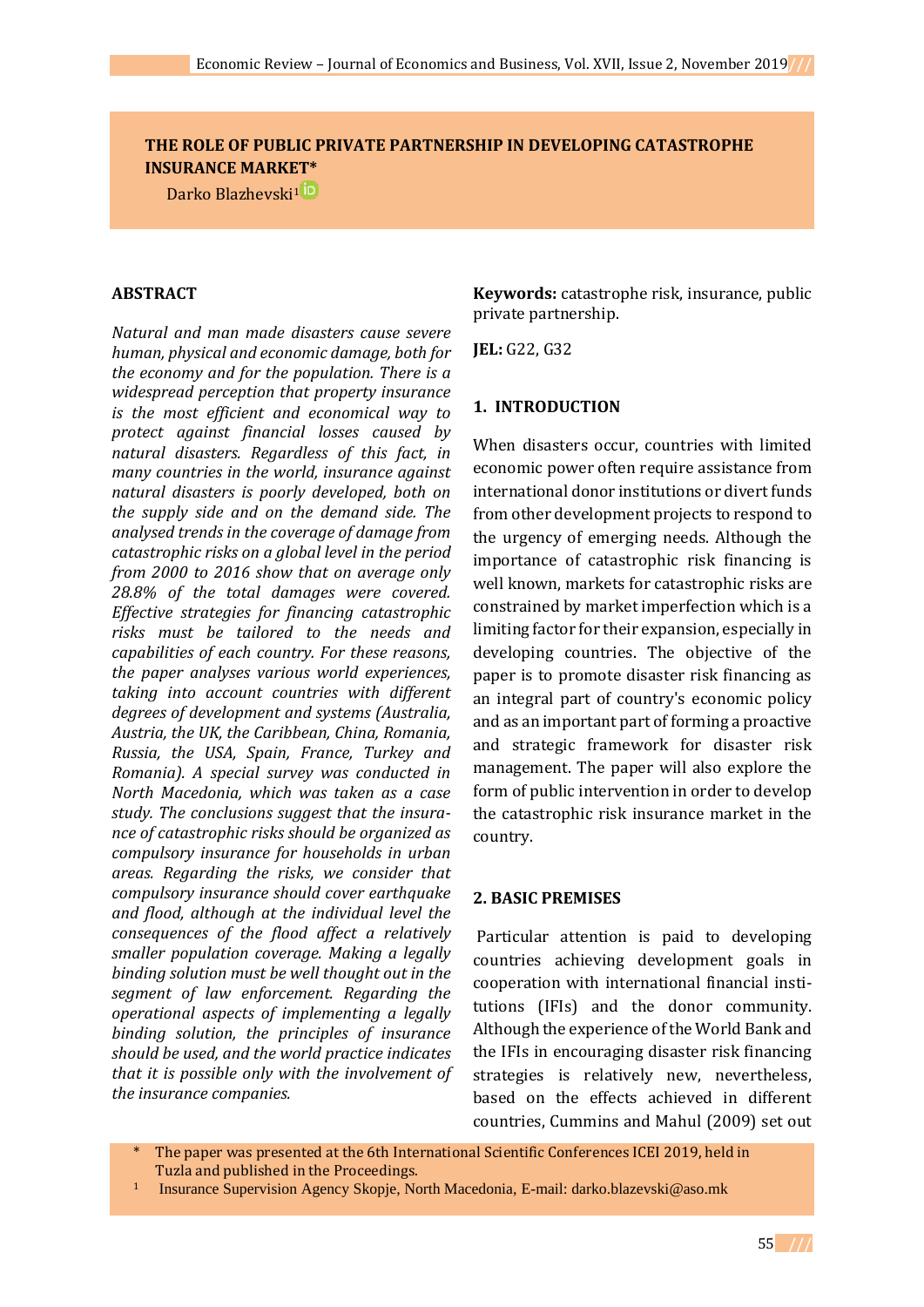## **THE ROLE OF PUBLIC PRIVATE PARTNERSHIP IN DEVELOPING CATASTROPHE INSURANCE MARKET\***

Dark[o Blazhevski](https://orcid.org/0000-0001-8340-2993)[1](https://orcid.org/0000-0001-6581-9090)

#### **ABSTRACT**

*Natural and man made disasters cause severe human, physical and economic damage, both for the economy and for the population. There is a widespread perception that property insurance is the most efficient and economical way to protect against financial losses caused by natural disasters. Regardless of this fact, in many countries in the world, insurance against natural disasters is poorly developed, both on the supply side and on the demand side. The analysed trends in the coverage of damage from catastrophic risks on a global level in the period from 2000 to 2016 show that on average only 28.8% of the total damages were covered. Effective strategies for financing catastrophic risks must be tailored to the needs and capabilities of each country. For these reasons, the paper analyses various world experiences, taking into account countries with different degrees of development and systems (Australia, Austria, the UK, the Caribbean, China, Romania, Russia, the USA, Spain, France, Turkey and Romania). A special survey was conducted in North Macedonia, which was taken as a case study. The conclusions suggest that the insurance of catastrophic risks should be organized as compulsory insurance for households in urban areas. Regarding the risks, we consider that compulsory insurance should cover earthquake and flood, although at the individual level the consequences of the flood affect a relatively smaller population coverage. Making a legally binding solution must be well thought out in the segment of law enforcement. Regarding the operational aspects of implementing a legally binding solution, the principles of insurance should be used, and the world practice indicates that it is possible only with the involvement of the insurance companies.* 

**Keywords:** catastrophe risk, insurance, public private partnership.

**JEL:** G22, G32

### **1. INTRODUCTION**

When disasters occur, countries with limited economic power often require assistance from international donor institutions or divert funds from other development projects to respond to the urgency of emerging needs. Although the importance of catastrophic risk financing is well known, markets for catastrophic risks are constrained by market imperfection which is a limiting factor for their expansion, especially in developing countries. The objective of the paper is to promote disaster risk financing as an integral part of country's economic policy and as an important part of forming a proactive and strategic framework for disaster risk management. The paper will also explore the form of public intervention in order to develop the catastrophic risk insurance market in the country.

#### **2. BASIC PREMISES**

Particular attention is paid to developing countries achieving development goals in cooperation with international financial institutions (IFIs) and the donor community. Although the experience of the World Bank and the IFIs in encouraging disaster risk financing strategies is relatively new, nevertheless, based on the effects achieved in different countries, Cummins and Mahul (2009) set out

- The paper was presented at the 6th International Scientific Conferences ICEI 2019, held in Tuzla and published in the Proceedings.
- <sup>1</sup> Insurance Supervision Agency Skopje, North Macedonia, E-mail: [darko.blazevski@aso.mk](mailto:darko.blazevski@aso.mk)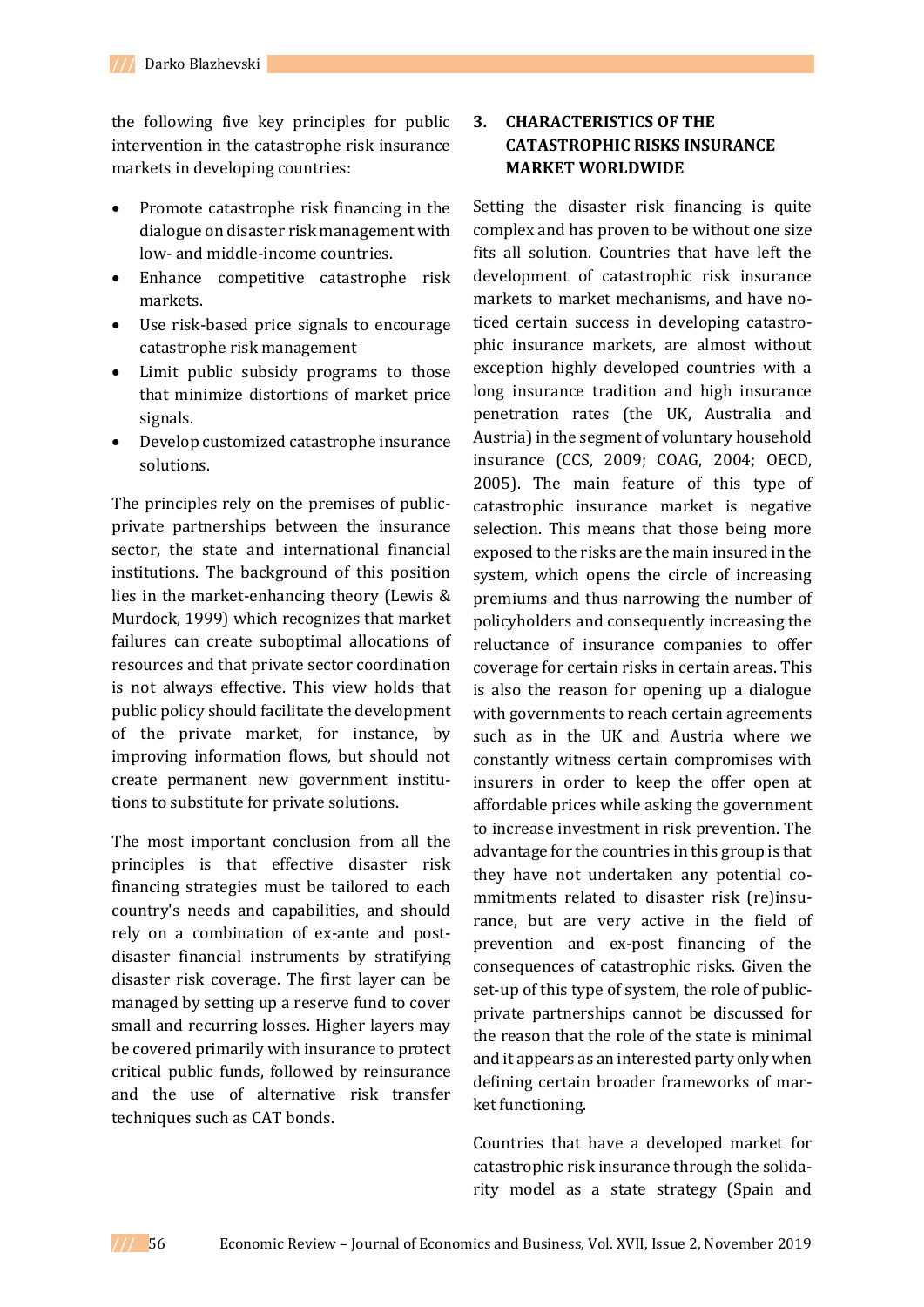the following five key principles for public intervention in the catastrophe risk insurance markets in developing countries:

- Promote catastrophe risk financing in the dialogue on disaster risk management with low- and middle-income countries.
- Enhance competitive catastrophe risk markets.
- Use risk-based price signals to encourage catastrophe risk management
- Limit public subsidy programs to those that minimize distortions of market price signals.
- Develop customized catastrophe insurance solutions.

The principles rely on the premises of publicprivate partnerships between the insurance sector, the state and international financial institutions. The background of this position lies in the market-enhancing theory (Lewis & Murdock, 1999) which recognizes that market failures can create suboptimal allocations of resources and that private sector coordination is not always effective. This view holds that public policy should facilitate the development of the private market, for instance, by improving information flows, but should not create permanent new government institutions to substitute for private solutions.

The most important conclusion from all the principles is that effective disaster risk financing strategies must be tailored to each country's needs and capabilities, and should rely on a combination of ex-ante and postdisaster financial instruments by stratifying disaster risk coverage. The first layer can be managed by setting up a reserve fund to cover small and recurring losses. Higher layers may be covered primarily with insurance to protect critical public funds, followed by reinsurance and the use of alternative risk transfer techniques such as CAT bonds.

# **3. CHARACTERISTICS OF THE CATASTROPHIC RISKS INSURANCE MARKET WORLDWIDE**

Setting the disaster risk financing is quite complex and has proven to be without one size fits all solution. Countries that have left the development of catastrophic risk insurance markets to market mechanisms, and have noticed certain success in developing catastrophic insurance markets, are almost without exception highly developed countries with a long insurance tradition and high insurance penetration rates (the UK, Australia and Austria) in the segment of voluntary household insurance (CCS, 2009; COAG, 2004; OECD, 2005). The main feature of this type of catastrophic insurance market is negative selection. This means that those being more exposed to the risks are the main insured in the system, which opens the circle of increasing premiums and thus narrowing the number of policyholders and consequently increasing the reluctance of insurance companies to offer coverage for certain risks in certain areas. This is also the reason for opening up a dialogue with governments to reach certain agreements such as in the UK and Austria where we constantly witness certain compromises with insurers in order to keep the offer open at affordable prices while asking the government to increase investment in risk prevention. The advantage for the countries in this group is that they have not undertaken any potential commitments related to disaster risk (re)insurance, but are very active in the field of prevention and ex-post financing of the consequences of catastrophic risks. Given the set-up of this type of system, the role of publicprivate partnerships cannot be discussed for the reason that the role of the state is minimal and it appears as an interested party only when defining certain broader frameworks of market functioning.

Countries that have a developed market for catastrophic risk insurance through the solidarity model as a state strategy (Spain and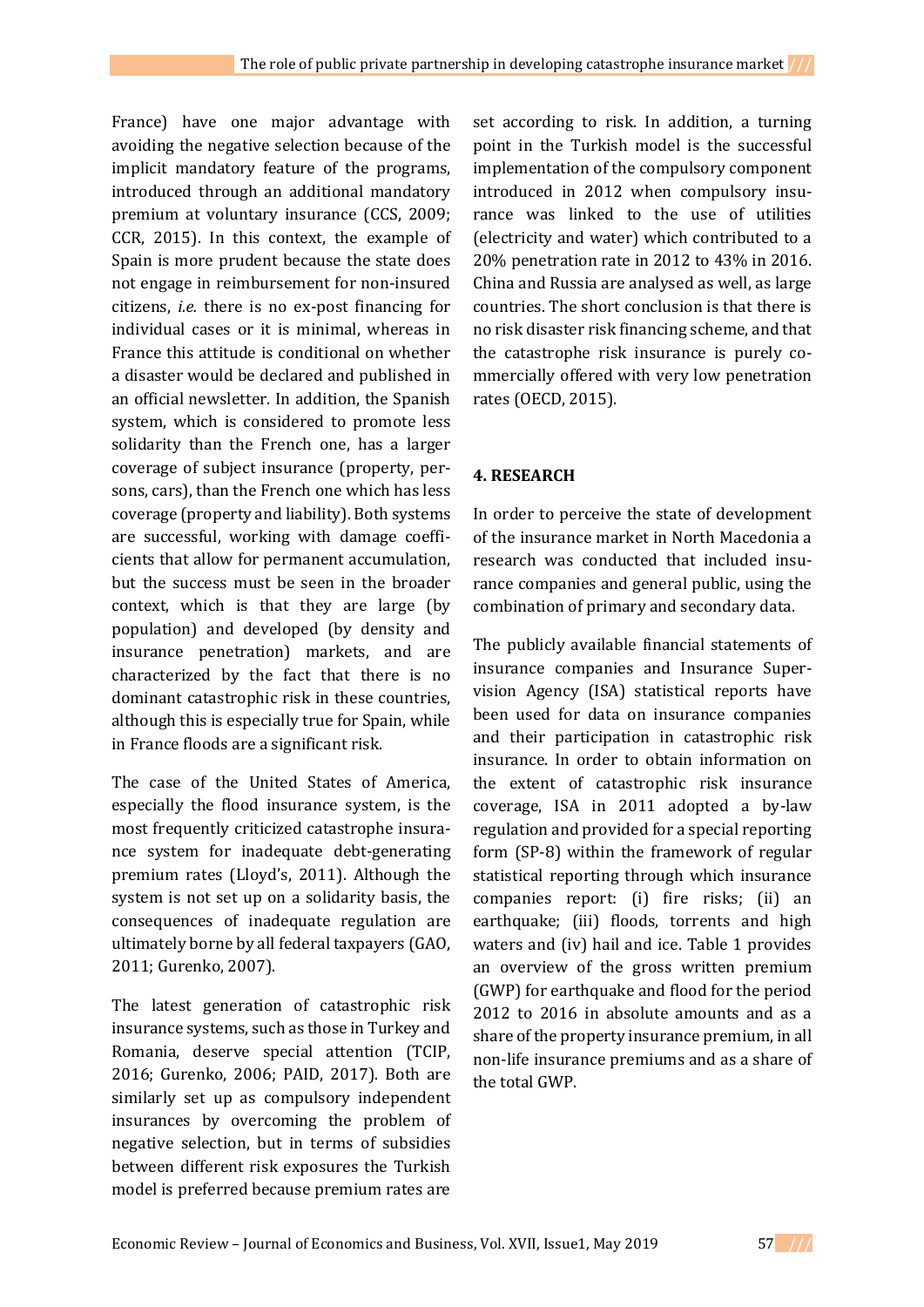France) have one major advantage with avoiding the negative selection because of the implicit mandatory feature of the programs, introduced through an additional mandatory premium at voluntary insurance (CCS, 2009; CCR, 2015). In this context, the example of Spain is more prudent because the state does not engage in reimbursement for non-insured citizens, *i.e.* there is no ex-post financing for individual cases or it is minimal, whereas in France this attitude is conditional on whether a disaster would be declared and published in an official newsletter. In addition, the Spanish system, which is considered to promote less solidarity than the French one, has a larger coverage of subject insurance (property, persons, cars), than the French one which has less coverage (property and liability). Both systems are successful, working with damage coefficients that allow for permanent accumulation, but the success must be seen in the broader context, which is that they are large (by population) and developed (by density and insurance penetration) markets, and are characterized by the fact that there is no dominant catastrophic risk in these countries, although this is especially true for Spain, while in France floods are a significant risk.

The case of the United States of America, especially the flood insurance system, is the most frequently criticized catastrophe insurance system for inadequate debt-generating premium rates (Lloyd's, 2011). Although the system is not set up on a solidarity basis, the consequences of inadequate regulation are ultimately borne by all federal taxpayers (GAO, 2011; Gurenko, 2007).

The latest generation of catastrophic risk insurance systems, such as those in Turkey and Romania, deserve special attention (TCIP, 2016; Gurenko, 2006; PAID, 2017). Both are similarly set up as compulsory independent insurances by overcoming the problem of negative selection, but in terms of subsidies between different risk exposures the Turkish model is preferred because premium rates are

set according to risk. In addition, a turning point in the Turkish model is the successful implementation of the compulsory component introduced in 2012 when compulsory insurance was linked to the use of utilities (electricity and water) which contributed to a 20% penetration rate in 2012 to 43% in 2016. China and Russia are analysed as well, as large countries. The short conclusion is that there is no risk disaster risk financing scheme, and that the catastrophe risk insurance is purely commercially offered with very low penetration rates (OECD, 2015).

## **4. RESEARCH**

In order to perceive the state of development of the insurance market in North Macedonia a research was conducted that included insurance companies and general public, using the combination of primary and secondary data.

The publicly available financial statements of insurance companies and Insurance Supervision Agency (ISA) statistical reports have been used for data on insurance companies and their participation in catastrophic risk insurance. In order to obtain information on the extent of catastrophic risk insurance coverage, ISA in 2011 adopted a by-law regulation and provided for a special reporting form (SP-8) within the framework of regular statistical reporting through which insurance companies report: (i) fire risks; (ii) an earthquake; (iii) floods, torrents and high waters and (iv) hail and ice. Table 1 provides an overview of the gross written premium (GWP) for earthquake and flood for the period 2012 to 2016 in absolute amounts and as a share of the property insurance premium, in all non-life insurance premiums and as a share of the total GWP.

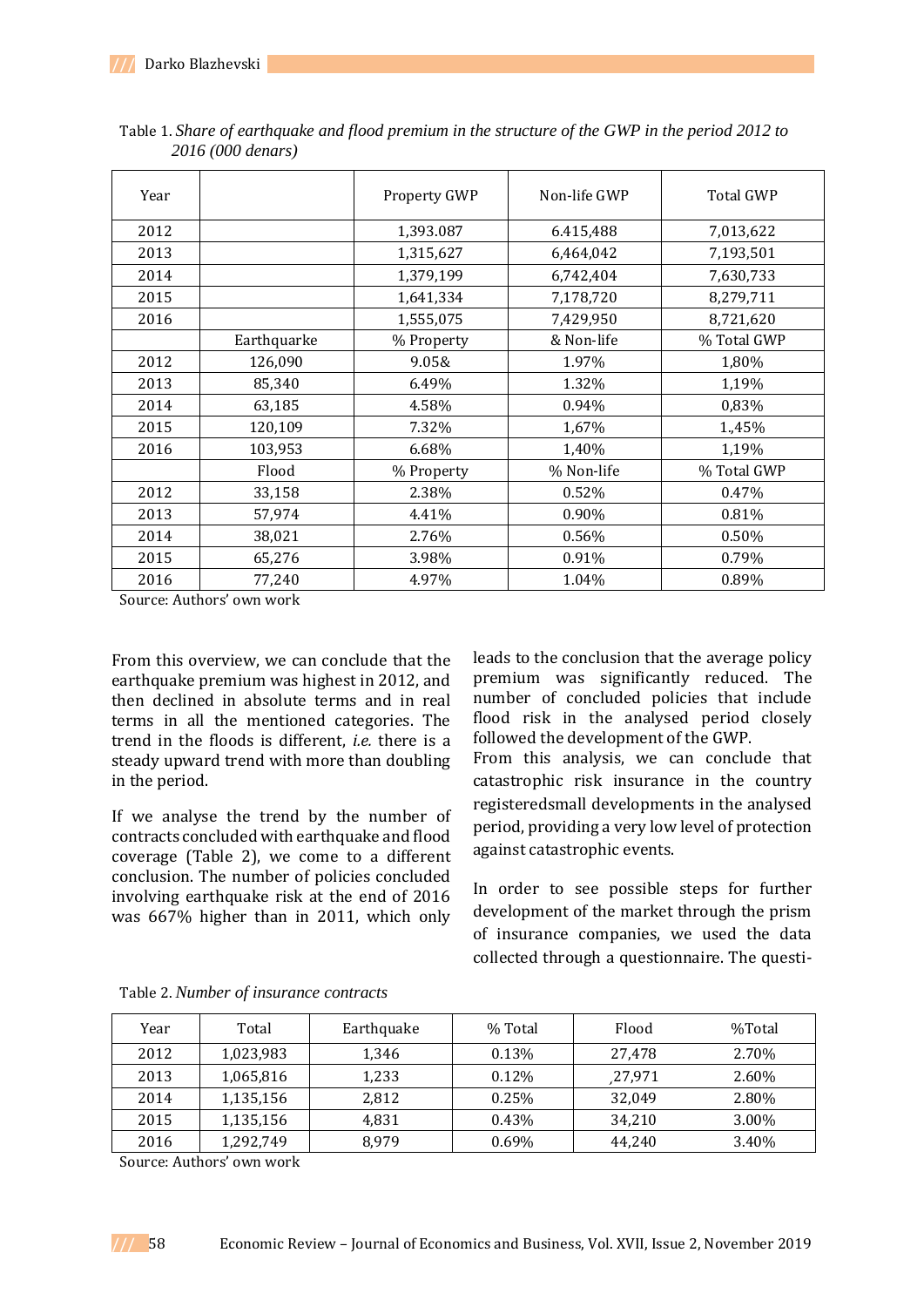| Year |             | Property GWP | Non-life GWP | <b>Total GWP</b> |
|------|-------------|--------------|--------------|------------------|
| 2012 |             | 1,393.087    | 6.415,488    | 7,013,622        |
| 2013 |             | 1,315,627    | 6,464,042    | 7,193,501        |
| 2014 |             | 1,379,199    | 6,742,404    | 7,630,733        |
| 2015 |             | 1,641,334    | 7,178,720    | 8,279,711        |
| 2016 |             | 1,555,075    | 7,429,950    | 8,721,620        |
|      | Earthquarke | % Property   | & Non-life   | % Total GWP      |
| 2012 | 126,090     | 9.05&        | 1.97%        | 1,80%            |
| 2013 | 85,340      | 6.49%        | 1.32%        | 1,19%            |
| 2014 | 63,185      | 4.58%        | 0.94%        | 0,83%            |
| 2015 | 120,109     | 7.32%        | 1,67%        | 1.,45%           |
| 2016 | 103,953     | 6.68%        | 1,40%        | 1,19%            |
|      | Flood       | % Property   | % Non-life   | % Total GWP      |
| 2012 | 33,158      | 2.38%        | 0.52%        | 0.47%            |
| 2013 | 57,974      | 4.41%        | 0.90%        | 0.81%            |
| 2014 | 38,021      | 2.76%        | 0.56%        | 0.50%            |
| 2015 | 65,276      | 3.98%        | 0.91%        | 0.79%            |
| 2016 | 77,240      | 4.97%        | 1.04%        | 0.89%            |

Table 1. *Share of earthquake and flood premium in the structure of the GWP in the period 2012 to 2016 (000 denars)*

Source: Authors' own work

From this overview, we can conclude that the earthquake premium was highest in 2012, and then declined in absolute terms and in real terms in all the mentioned categories. The trend in the floods is different, *i.e.* there is a steady upward trend with more than doubling in the period.

If we analyse the trend by the number of contracts concluded with earthquake and flood coverage (Table 2), we come to a different conclusion. The number of policies concluded involving earthquake risk at the end of 2016 was 667% higher than in 2011, which only leads to the conclusion that the average policy premium was significantly reduced. The number of concluded policies that include flood risk in the analysed period closely followed the development of the GWP. From this analysis, we can conclude that catastrophic risk insurance in the country registeredsmall developments in the analysed period, providing a very low level of protection against catastrophic events.

In order to see possible steps for further development of the market through the prism of insurance companies, we used the data collected through a questionnaire. The questi-

| Year | Total     | Earthquake | % Total  | Flood   | %Total |
|------|-----------|------------|----------|---------|--------|
| 2012 | 1,023,983 | 1,346      | 0.13%    | 27.478  | 2.70%  |
| 2013 | 1,065,816 | 1.233      | $0.12\%$ | ,27,971 | 2.60%  |
| 2014 | 1,135,156 | 2,812      | 0.25%    | 32.049  | 2.80%  |
| 2015 | 1,135,156 | 4.831      | 0.43%    | 34.210  | 3.00%  |
| 2016 | 1,292,749 | 8.979      | 0.69%    | 44.240  | 3.40%  |

Table 2. *Number of insurance contracts*

Source: Authors' own work

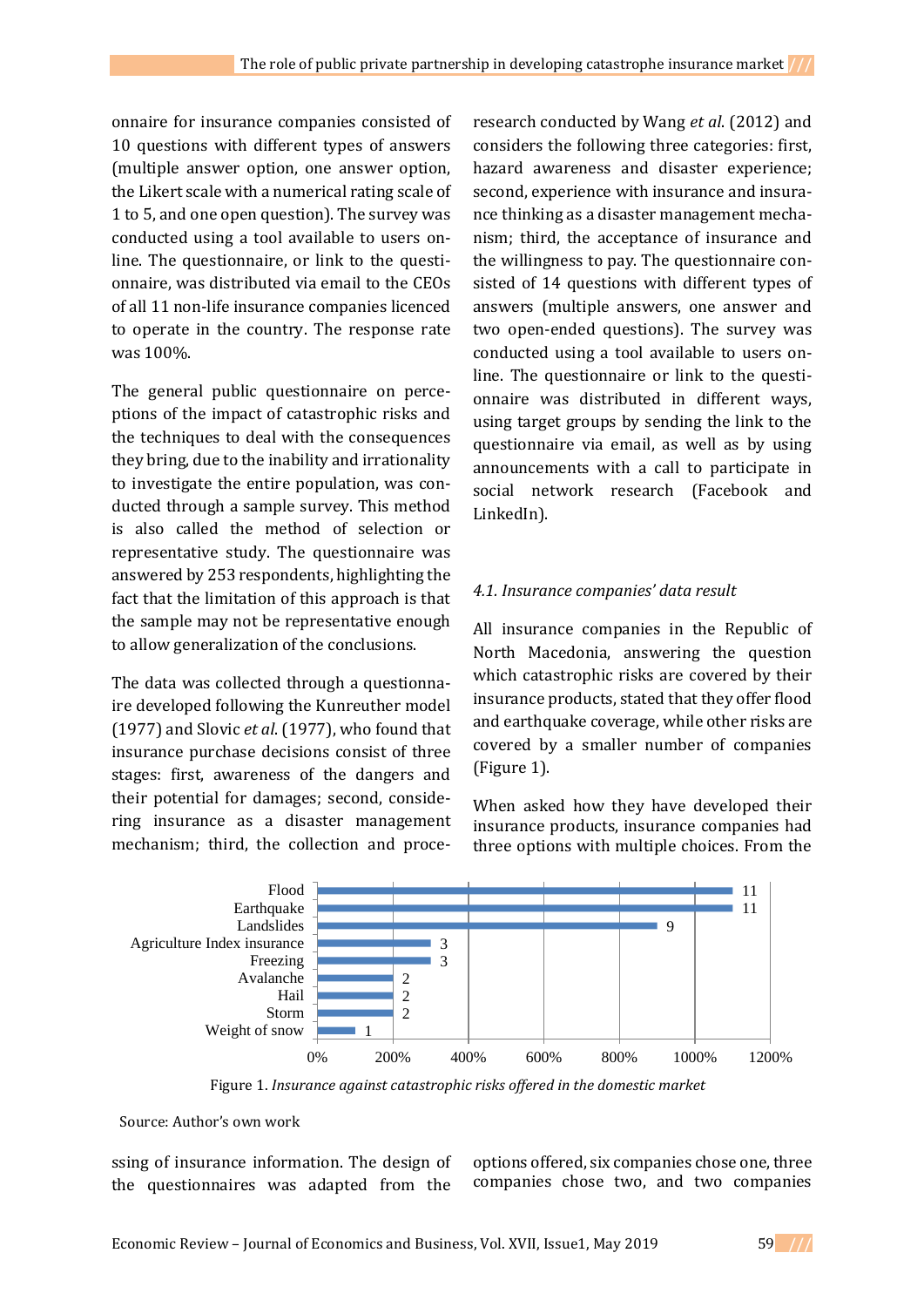onnaire for insurance companies consisted of 10 questions with different types of answers (multiple answer option, one answer option, the Likert scale with a numerical rating scale of 1 to 5, and one open question). The survey was conducted using a tool available to users online. The questionnaire, or link to the questionnaire, was distributed via email to the CEOs of all 11 non-life insurance companies licenced to operate in the country. The response rate was 100%.

The general public questionnaire on perceptions of the impact of catastrophic risks and the techniques to deal with the consequences they bring, due to the inability and irrationality to investigate the entire population, was conducted through a sample survey. This method is also called the method of selection or representative study. The questionnaire was answered by 253 respondents, highlighting the fact that the limitation of this approach is that the sample may not be representative enough to allow generalization of the conclusions.

The data was collected through a questionnaire developed following the Kunreuther model (1977) and Slovic *et al*. (1977), who found that insurance purchase decisions consist of three stages: first, awareness of the dangers and their potential for damages; second, considering insurance as a disaster management mechanism; third, the collection and proce-

research conducted by Wang *et al*. (2012) and considers the following three categories: first, hazard awareness and disaster experience; second, experience with insurance and insurance thinking as a disaster management mechanism; third, the acceptance of insurance and the willingness to pay. The questionnaire consisted of 14 questions with different types of answers (multiple answers, one answer and two open-ended questions). The survey was conducted using a tool available to users online. The questionnaire or link to the questionnaire was distributed in different ways, using target groups by sending the link to the questionnaire via email, as well as by using announcements with a call to participate in social network research (Facebook and LinkedIn).

### *4.1. Insurance companies' data result*

All insurance companies in the Republic of North Macedonia, answering the question which catastrophic risks are covered by their insurance products, stated that they offer flood and earthquake coverage, while other risks are covered by a smaller number of companies (Figure 1).

When asked how they have developed their insurance products, insurance companies had three options with multiple choices. From the



Figure 1. *Insurance against catastrophic risks offered in the domestic market*

Source: Author's own work

ssing of insurance information. The design of the questionnaires was adapted from the

options offered, six companies chose one, three companies chose two, and two companies

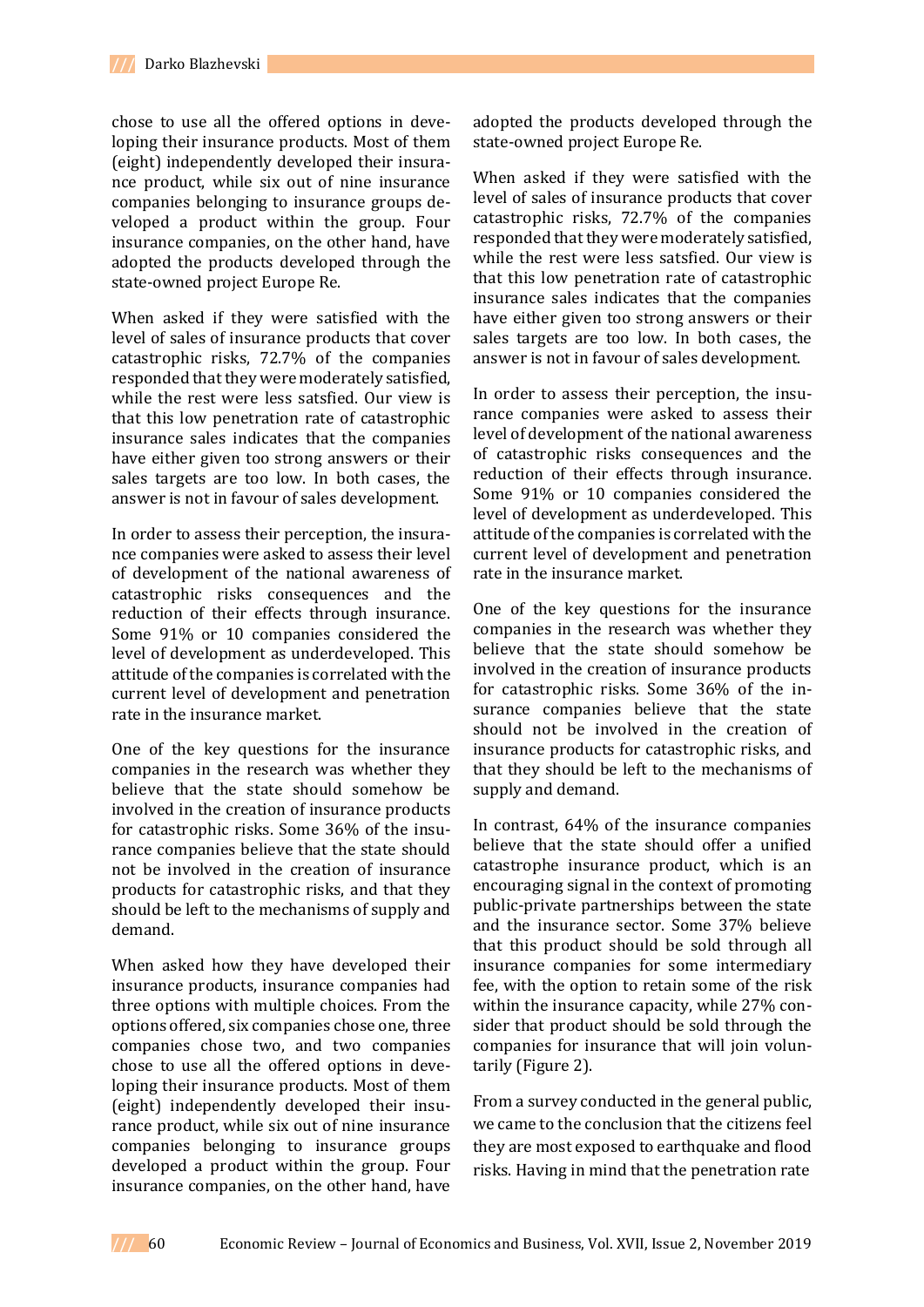chose to use all the offered options in developing their insurance products. Most of them (eight) independently developed their insurance product, while six out of nine insurance companies belonging to insurance groups developed a product within the group. Four insurance companies, on the other hand, have adopted the products developed through the state-owned project Europe Re.

When asked if they were satisfied with the level of sales of insurance products that cover catastrophic risks, 72.7% of the companies responded that they were moderately satisfied, while the rest were less satsfied. Our view is that this low penetration rate of catastrophic insurance sales indicates that the companies have either given too strong answers or their sales targets are too low. In both cases, the answer is not in favour of sales development.

In order to assess their perception, the insurance companies were asked to assess their level of development of the national awareness of catastrophic risks consequences and the reduction of their effects through insurance. Some 91% or 10 companies considered the level of development as underdeveloped. This attitude of the companies is correlated with the current level of development and penetration rate in the insurance market.

One of the key questions for the insurance companies in the research was whether they believe that the state should somehow be involved in the creation of insurance products for catastrophic risks. Some 36% of the insurance companies believe that the state should not be involved in the creation of insurance products for catastrophic risks, and that they should be left to the mechanisms of supply and demand.

When asked how they have developed their insurance products, insurance companies had three options with multiple choices. From the options offered, six companies chose one, three companies chose two, and two companies chose to use all the offered options in developing their insurance products. Most of them (eight) independently developed their insurance product, while six out of nine insurance companies belonging to insurance groups developed a product within the group. Four insurance companies, on the other hand, have adopted the products developed through the state-owned project Europe Re.

When asked if they were satisfied with the level of sales of insurance products that cover catastrophic risks, 72.7% of the companies responded that they were moderately satisfied, while the rest were less satsfied. Our view is that this low penetration rate of catastrophic insurance sales indicates that the companies have either given too strong answers or their sales targets are too low. In both cases, the answer is not in favour of sales development.

In order to assess their perception, the insurance companies were asked to assess their level of development of the national awareness of catastrophic risks consequences and the reduction of their effects through insurance. Some 91% or 10 companies considered the level of development as underdeveloped. This attitude of the companies is correlated with the current level of development and penetration rate in the insurance market.

One of the key questions for the insurance companies in the research was whether they believe that the state should somehow be involved in the creation of insurance products for catastrophic risks. Some 36% of the insurance companies believe that the state should not be involved in the creation of insurance products for catastrophic risks, and that they should be left to the mechanisms of supply and demand.

In contrast, 64% of the insurance companies believe that the state should offer a unified catastrophe insurance product, which is an encouraging signal in the context of promoting public-private partnerships between the state and the insurance sector. Some 37% believe that this product should be sold through all insurance companies for some intermediary fee, with the option to retain some of the risk within the insurance capacity, while 27% consider that product should be sold through the companies for insurance that will join voluntarily (Figure 2).

From a survey conducted in the general public, we came to the conclusion that the citizens feel they are most exposed to earthquake and flood risks. Having in mind that the penetration rate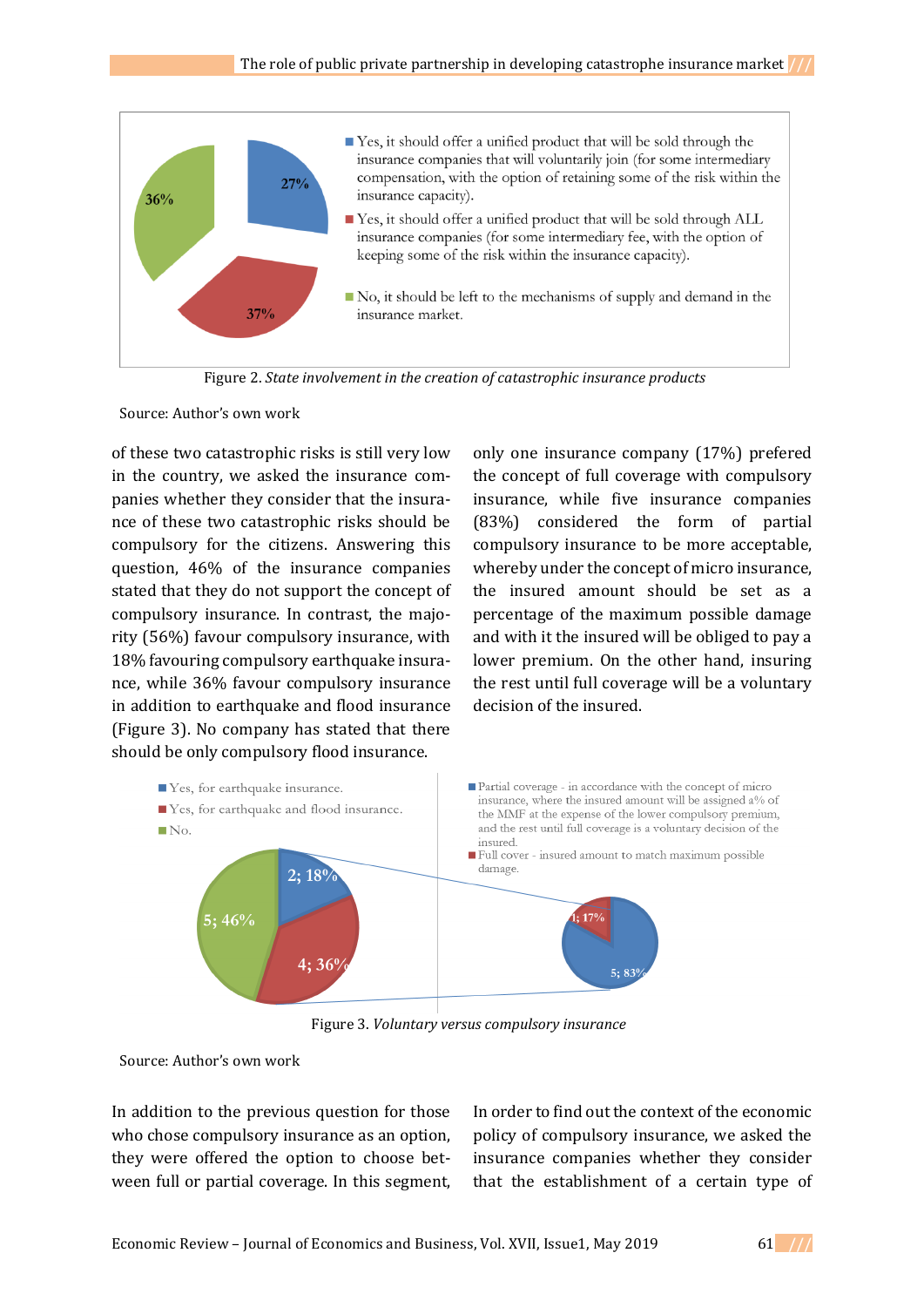

Figure 2. *State involvement in the creation of catastrophic insurance products*

Source: Author's own work

of these two catastrophic risks is still very low in the country, we asked the insurance companies whether they consider that the insurance of these two catastrophic risks should be compulsory for the citizens. Answering this question, 46% of the insurance companies stated that they do not support the concept of compulsory insurance. In contrast, the majority (56%) favour compulsory insurance, with 18% favouring compulsory earthquake insurance, while 36% favour compulsory insurance in addition to earthquake and flood insurance (Figure 3). No company has stated that there should be only compulsory flood insurance.

only one insurance company (17%) prefered the concept of full coverage with compulsory insurance, while five insurance companies (83%) considered the form of partial compulsory insurance to be more acceptable, whereby under the concept of micro insurance, the insured amount should be set as a percentage of the maximum possible damage and with it the insured will be obliged to pay a lower premium. On the other hand, insuring the rest until full coverage will be a voluntary decision of the insured.



Figure 3. *Voluntary versus compulsory insurance*

Source: Author's own work

In addition to the previous question for those who chose compulsory insurance as an option, they were offered the option to choose between full or partial coverage. In this segment,

In order to find out the context of the economic policy of compulsory insurance, we asked the insurance companies whether they consider that the establishment of a certain type of

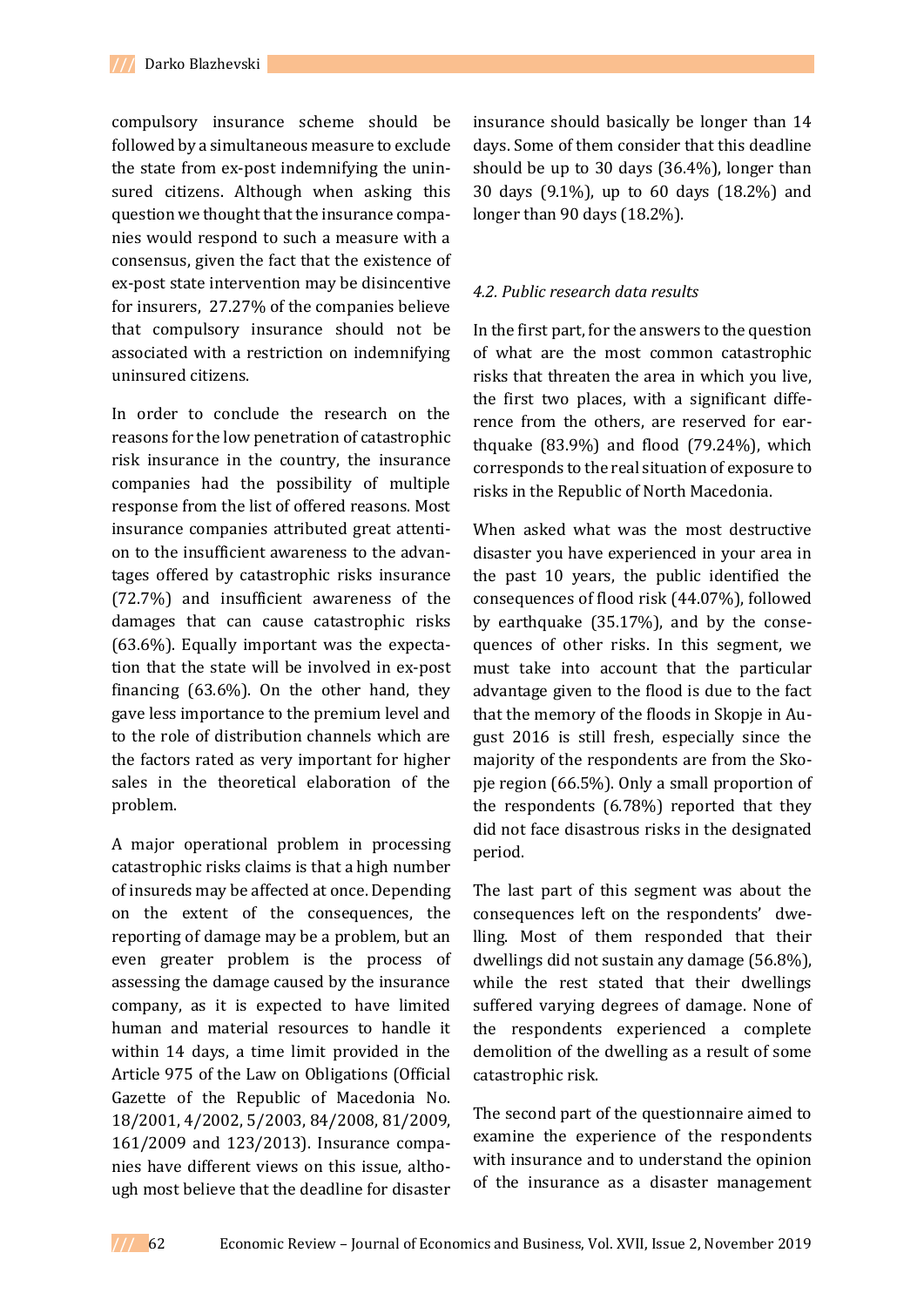compulsory insurance scheme should be followed by a simultaneous measure to exclude the state from ex-post indemnifying the uninsured citizens. Although when asking this question we thought that the insurance companies would respond to such a measure with a consensus, given the fact that the existence of ex-post state intervention may be disincentive for insurers, 27.27% of the companies believe that compulsory insurance should not be associated with a restriction on indemnifying uninsured citizens.

In order to conclude the research on the reasons for the low penetration of catastrophic risk insurance in the country, the insurance companies had the possibility of multiple response from the list of offered reasons. Most insurance companies attributed great attention to the insufficient awareness to the advantages offered by catastrophic risks insurance (72.7%) and insufficient awareness of the damages that can cause catastrophic risks (63.6%). Equally important was the expectation that the state will be involved in ex-post financing (63.6%). On the other hand, they gave less importance to the premium level and to the role of distribution channels which are the factors rated as very important for higher sales in the theoretical elaboration of the problem.

A major operational problem in processing catastrophic risks claims is that a high number of insureds may be affected at once. Depending on the extent of the consequences, the reporting of damage may be a problem, but an even greater problem is the process of assessing the damage caused by the insurance company, as it is expected to have limited human and material resources to handle it within 14 days, a time limit provided in the Article 975 of the Law on Obligations (Official Gazette of the Republic of Macedonia No. 18/2001, 4/2002, 5/2003, 84/2008, 81/2009, 161/2009 and 123/2013). Insurance companies have different views on this issue, although most believe that the deadline for disaster

insurance should basically be longer than 14 days. Some of them consider that this deadline should be up to 30 days (36.4%), longer than 30 days (9.1%), up to 60 days (18.2%) and longer than 90 days (18.2%).

#### *4.2. Public research data results*

In the first part, for the answers to the question of what are the most common catastrophic risks that threaten the area in which you live, the first two places, with a significant difference from the others, are reserved for earthquake (83.9%) and flood (79.24%), which corresponds to the real situation of exposure to risks in the Republic of North Macedonia.

When asked what was the most destructive disaster you have experienced in your area in the past 10 years, the public identified the consequences of flood risk (44.07%), followed by earthquake (35.17%), and by the consequences of other risks. In this segment, we must take into account that the particular advantage given to the flood is due to the fact that the memory of the floods in Skopje in August 2016 is still fresh, especially since the majority of the respondents are from the Skopje region (66.5%). Only a small proportion of the respondents (6.78%) reported that they did not face disastrous risks in the designated period.

The last part of this segment was about the consequences left on the respondents' dwelling. Most of them responded that their dwellings did not sustain any damage (56.8%), while the rest stated that their dwellings suffered varying degrees of damage. None of the respondents experienced a complete demolition of the dwelling as a result of some catastrophic risk.

The second part of the questionnaire aimed to examine the experience of the respondents with insurance and to understand the opinion of the insurance as a disaster management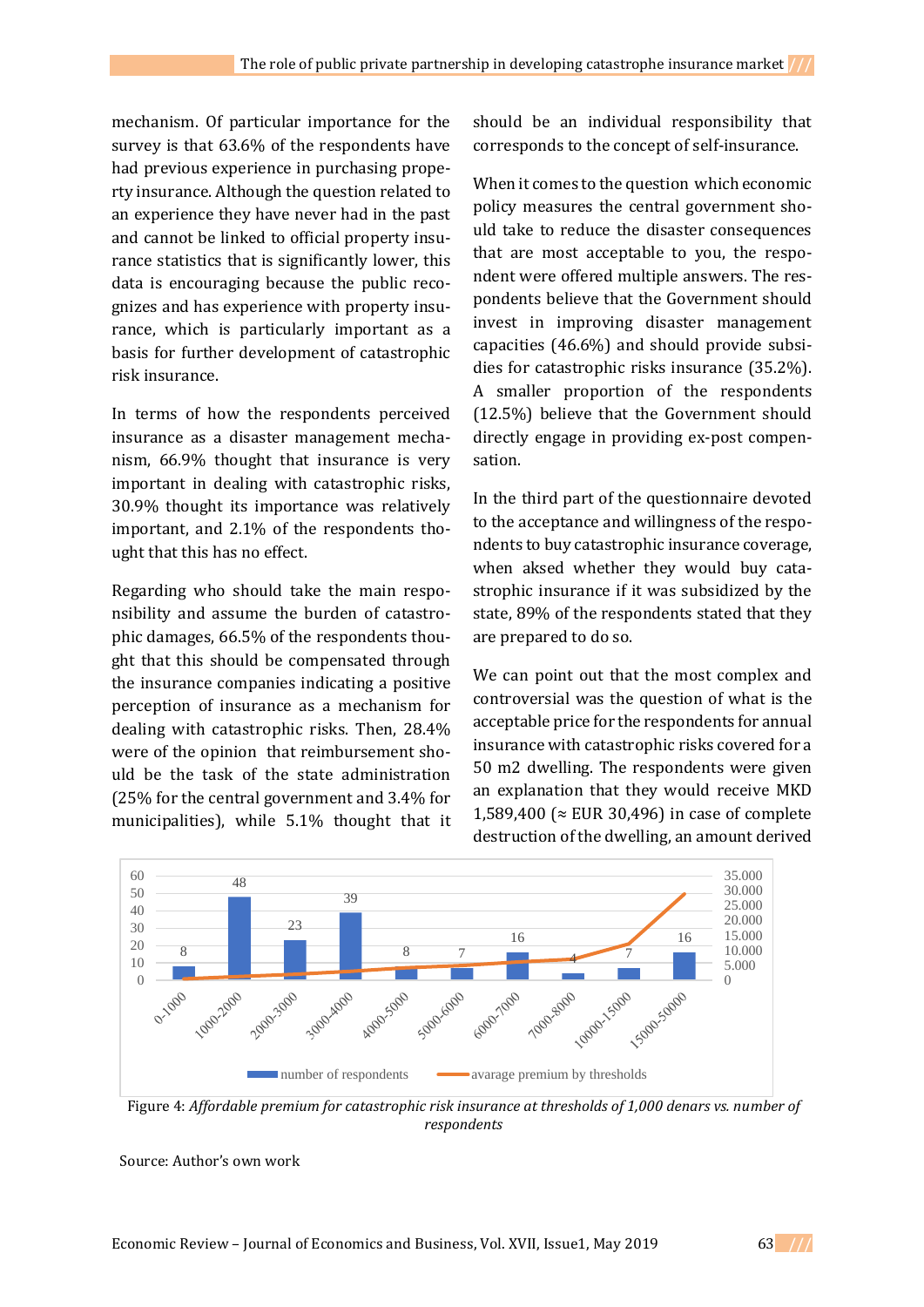mechanism. Of particular importance for the survey is that 63.6% of the respondents have had previous experience in purchasing property insurance. Although the question related to an experience they have never had in the past and cannot be linked to official property insurance statistics that is significantly lower, this data is encouraging because the public recognizes and has experience with property insurance, which is particularly important as a basis for further development of catastrophic risk insurance.

In terms of how the respondents perceived insurance as a disaster management mechanism, 66.9% thought that insurance is very important in dealing with catastrophic risks, 30.9% thought its importance was relatively important, and 2.1% of the respondents thought that this has no effect.

Regarding who should take the main responsibility and assume the burden of catastrophic damages, 66.5% of the respondents thought that this should be compensated through the insurance companies indicating a positive perception of insurance as a mechanism for dealing with catastrophic risks. Then, 28.4% were of the opinion that reimbursement should be the task of the state administration (25% for the central government and 3.4% for municipalities), while 5.1% thought that it should be an individual responsibility that corresponds to the concept of self-insurance.

When it comes to the question which economic policy measures the central government should take to reduce the disaster consequences that are most acceptable to you, the respondent were offered multiple answers. The respondents believe that the Government should invest in improving disaster management capacities (46.6%) and should provide subsidies for catastrophic risks insurance (35.2%). A smaller proportion of the respondents (12.5%) believe that the Government should directly engage in providing ex-post compensation.

In the third part of the questionnaire devoted to the acceptance and willingness of the respondents to buy catastrophic insurance coverage, when aksed whether they would buy catastrophic insurance if it was subsidized by the state, 89% of the respondents stated that they are prepared to do so.

We can point out that the most complex and controversial was the question of what is the acceptable price for the respondents for annual insurance with catastrophic risks covered for a 50 m2 dwelling. The respondents were given an explanation that they would receive MKD 1,589,400 (≈ EUR 30,496) in case of complete destruction of the dwelling, an amount derived



Figure 4: *Affordable premium for catastrophic risk insurance at thresholds of 1,000 denars vs. number of respondents*

Source: Author's own work

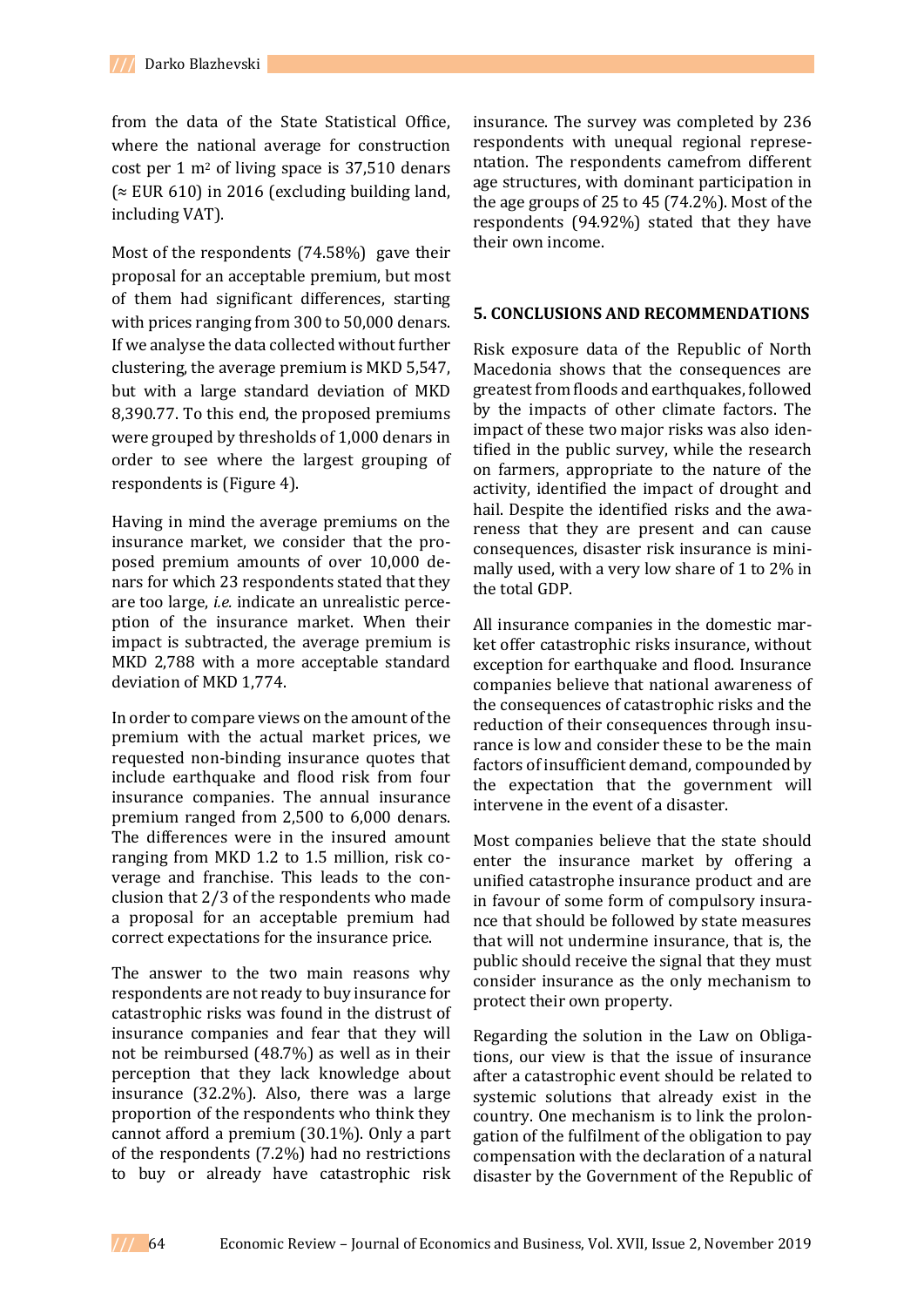from the data of the State Statistical Office, where the national average for construction cost per 1 m<sup>2</sup> of living space is 37,510 denars  $\approx$  EUR 610) in 2016 (excluding building land, including VAT).

Most of the respondents (74.58%) gave their proposal for an acceptable premium, but most of them had significant differences, starting with prices ranging from 300 to 50,000 denars. If we analyse the data collected without further clustering, the average premium is MKD 5,547, but with a large standard deviation of MKD 8,390.77. To this end, the proposed premiums were grouped by thresholds of 1,000 denars in order to see where the largest grouping of respondents is (Figure 4).

Having in mind the average premiums on the insurance market, we consider that the proposed premium amounts of over 10,000 denars for which 23 respondents stated that they are too large, *i.e.* indicate an unrealistic perception of the insurance market. When their impact is subtracted, the average premium is MKD 2,788 with a more acceptable standard deviation of MKD 1,774.

In order to compare views on the amount of the premium with the actual market prices, we requested non-binding insurance quotes that include earthquake and flood risk from four insurance companies. The annual insurance premium ranged from 2,500 to 6,000 denars. The differences were in the insured amount ranging from MKD 1.2 to 1.5 million, risk coverage and franchise. This leads to the conclusion that 2/3 of the respondents who made a proposal for an acceptable premium had correct expectations for the insurance price.

The answer to the two main reasons why respondents are not ready to buy insurance for catastrophic risks was found in the distrust of insurance companies and fear that they will not be reimbursed (48.7%) as well as in their perception that they lack knowledge about insurance (32.2%). Also, there was a large proportion of the respondents who think they cannot afford a premium (30.1%). Only a part of the respondents (7.2%) had no restrictions to buy or already have catastrophic risk insurance. The survey was completed by 236 respondents with unequal regional representation. The respondents camefrom different age structures, with dominant participation in the age groups of 25 to 45 (74.2%). Most of the respondents (94.92%) stated that they have their own income.

### **5. CONCLUSIONS AND RECOMMENDATIONS**

Risk exposure data of the Republic of North Macedonia shows that the consequences are greatest from floods and earthquakes, followed by the impacts of other climate factors. The impact of these two major risks was also identified in the public survey, while the research on farmers, appropriate to the nature of the activity, identified the impact of drought and hail. Despite the identified risks and the awareness that they are present and can cause consequences, disaster risk insurance is minimally used, with a very low share of 1 to 2% in the total GDP.

All insurance companies in the domestic market offer catastrophic risks insurance, without exception for earthquake and flood. Insurance companies believe that national awareness of the consequences of catastrophic risks and the reduction of their consequences through insurance is low and consider these to be the main factors of insufficient demand, compounded by the expectation that the government will intervene in the event of a disaster.

Most companies believe that the state should enter the insurance market by offering a unified catastrophe insurance product and are in favour of some form of compulsory insurance that should be followed by state measures that will not undermine insurance, that is, the public should receive the signal that they must consider insurance as the only mechanism to protect their own property.

Regarding the solution in the Law on Obligations, our view is that the issue of insurance after a catastrophic event should be related to systemic solutions that already exist in the country. One mechanism is to link the prolongation of the fulfilment of the obligation to pay compensation with the declaration of a natural disaster by the Government of the Republic of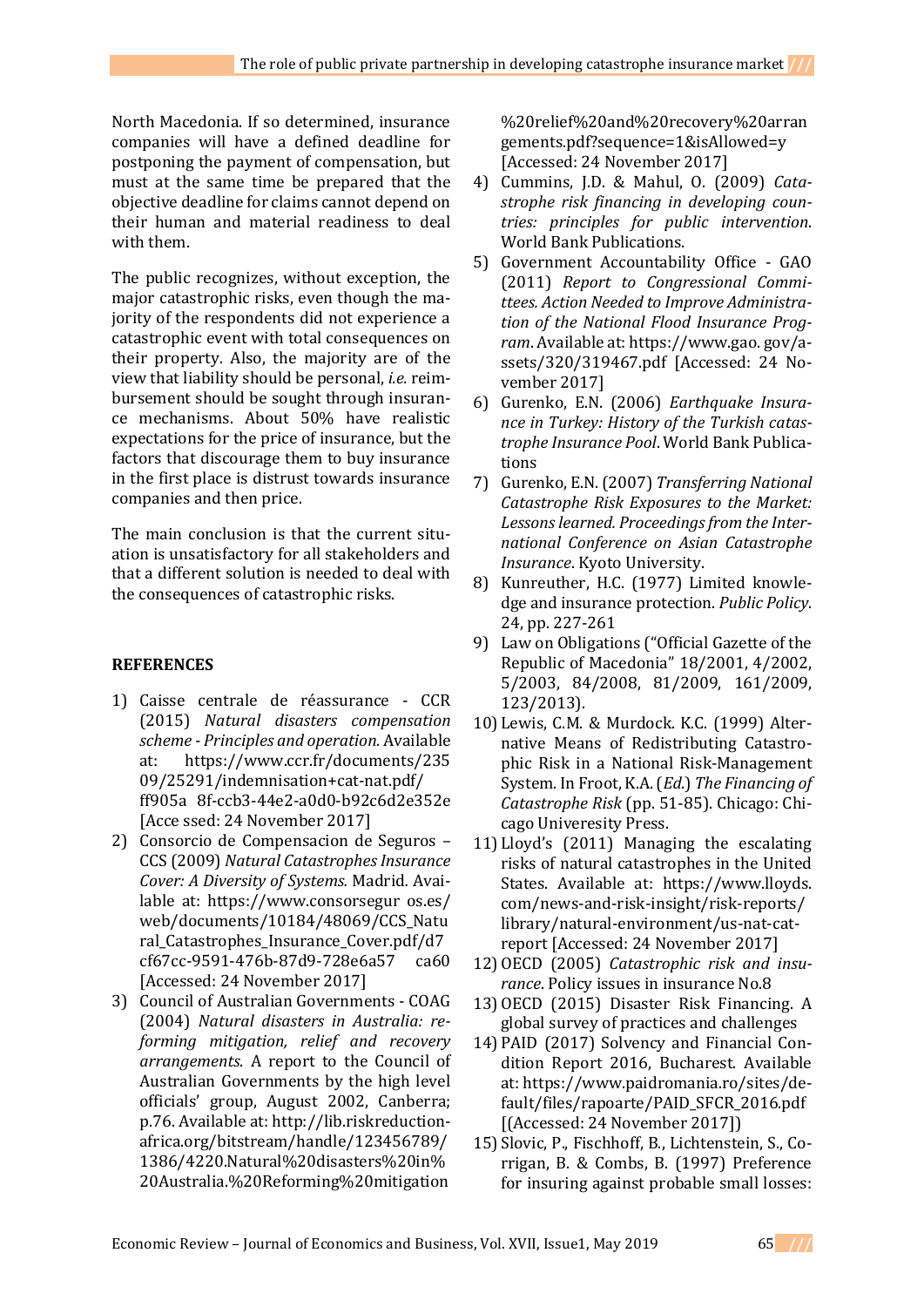North Macedonia. If so determined, insurance companies will have a defined deadline for postponing the payment of compensation, but must at the same time be prepared that the objective deadline for claims cannot depend on their human and material readiness to deal with them.

The public recognizes, without exception, the major catastrophic risks, even though the majority of the respondents did not experience a catastrophic event with total consequences on their property. Also, the majority are of the view that liability should be personal, *i.e.* reimbursement should be sought through insurance mechanisms. About 50% have realistic expectations for the price of insurance, but the factors that discourage them to buy insurance in the first place is distrust towards insurance companies and then price.

The main conclusion is that the current situation is unsatisfactory for all stakeholders and that a different solution is needed to deal with the consequences of catastrophic risks.

### **REFERENCES**

- 1) Caisse centrale de réassurance CCR (2015) *Natural disasters compensation scheme - Principles and operation.* Available at: [https://www.ccr.fr/documents/235](https://www.ccr.fr/documents/235%2009/25291/indemnisation+cat-nat.pdf/%20ff905a%208f-ccb3-44e2-a0d0-b92c6d2e352e)  [09/25291/indemnisation+cat-nat.pdf/](https://www.ccr.fr/documents/235%2009/25291/indemnisation+cat-nat.pdf/%20ff905a%208f-ccb3-44e2-a0d0-b92c6d2e352e)  [ff905a 8f-ccb3-44e2-a0d0-b92c6d2e352e](https://www.ccr.fr/documents/235%2009/25291/indemnisation+cat-nat.pdf/%20ff905a%208f-ccb3-44e2-a0d0-b92c6d2e352e) [Acce ssed: 24 November 2017]
- 2) Consorcio de Compensacion de Seguros CCS (2009) *Natural Catastrophes Insurance Cover: A Diversity of Systems.* Madrid*.* Available at: https://www.consorsegur os.es/ web/documents/10184/48069/CCS\_Natu ral\_Catastrophes\_Insurance\_Cover.pdf/d7 cf67cc-9591-476b-87d9-728e6a57 ca60 [Accessed: 24 November 2017]
- 3) Council of Australian Governments COAG (2004) *Natural disasters in Australia: reforming mitigation, relief and recovery arrangements*. A report to the Council of Australian Governments by the high level officials' group, August 2002, Canberra; p.76. Available at[: http://lib.riskreduction](http://lib.riskreduction-africa.org/bitstream/handle/123456789/1386/4220.Natural%20disasters%20in%20Australia.%20Reforming%20mitigation%20relief%20and%20recovery%20arrangements.pdf?sequence=1&isAllowed=y)[africa.org/bitstream/handle/123456789/](http://lib.riskreduction-africa.org/bitstream/handle/123456789/1386/4220.Natural%20disasters%20in%20Australia.%20Reforming%20mitigation%20relief%20and%20recovery%20arrangements.pdf?sequence=1&isAllowed=y) [1386/4220.Natural%20disasters%20in%](http://lib.riskreduction-africa.org/bitstream/handle/123456789/1386/4220.Natural%20disasters%20in%20Australia.%20Reforming%20mitigation%20relief%20and%20recovery%20arrangements.pdf?sequence=1&isAllowed=y) [20Australia.%20Reforming%20mitigation](http://lib.riskreduction-africa.org/bitstream/handle/123456789/1386/4220.Natural%20disasters%20in%20Australia.%20Reforming%20mitigation%20relief%20and%20recovery%20arrangements.pdf?sequence=1&isAllowed=y)

[%20relief%20and%20recovery%20arran](http://lib.riskreduction-africa.org/bitstream/handle/123456789/1386/4220.Natural%20disasters%20in%20Australia.%20Reforming%20mitigation%20relief%20and%20recovery%20arrangements.pdf?sequence=1&isAllowed=y) [gements.pdf?sequence=1&isAllowed=y](http://lib.riskreduction-africa.org/bitstream/handle/123456789/1386/4220.Natural%20disasters%20in%20Australia.%20Reforming%20mitigation%20relief%20and%20recovery%20arrangements.pdf?sequence=1&isAllowed=y) [Accessed: 24 November 2017]

- 4) Cummins, J.D. & Mahul, O. (2009) *Catastrophe risk financing in developing countries: principles for public intervention*. World Bank Publications.
- 5) Government Accountability Office GAO (2011) *Report to Congressional Committees. Action Needed to Improve Administration of the National Flood Insurance Program*. Available at: https://www.gao. gov/assets/320/319467.pdf [Accessed: 24 November 2017]
- 6) Gurenko, E.N. (2006) *Earthquake Insurance in Turkey: History of the Turkish catastrophe Insurance Pool*. World Bank Publications
- 7) Gurenko, E.N. (2007) *Transferring National Catastrophe Risk Exposures to the Market: Lessons learned. Proceedings from the International Conference on Asian Catastrophe Insurance*. Kyoto University.
- 8) Kunreuther, H.C. (1977) Limited knowledge and insurance protection. *Public Policy*. 24, pp. 227-261
- 9) Law on Obligations ("Official Gazette of the Republic of Macedonia" 18/2001, 4/2002, 5/2003, 84/2008, 81/2009, 161/2009, 123/2013).
- 10) Lewis, C.M. & Murdock. K.C. (1999) Alternative Means of Redistributing Catastrophic Risk in a National Risk-Management System. In Froot, K.A. (*Ed*.) *The Financing of Catastrophe Risk* (pp. 51-85). Chicago: Chicago Univeresity Press.
- 11) Lloyd's (2011) Managing the escalating risks of natural catastrophes in the United States. Available at: https://www.lloyds. com/news-and-risk-insight/risk-reports/ library/natural-environment/us-nat-catreport [Accessed: 24 November 2017]
- 12)OECD (2005) *Catastrophic risk and insurance*. Policy issues in insurance No.8
- 13)OECD (2015) Disaster Risk Financing. A global survey of practices and challenges
- 14)PAID (2017) Solvency and Financial Condition Report 2016, Bucharest. Available at: [https://www.paidromania.ro/sites/de](https://www.paidromania.ro/sites/de-fault/files/rapoarte/PAID_SFCR_2016.pdf)[fault/files/rapoarte/PAID\\_SFCR\\_2016.pdf](https://www.paidromania.ro/sites/de-fault/files/rapoarte/PAID_SFCR_2016.pdf) [(Accessed: 24 November 2017])
- 15) Slovic, P., Fischhoff, B., Lichtenstein, S., Corrigan, B. & Combs, B. (1997) Preference for insuring against probable small losses: